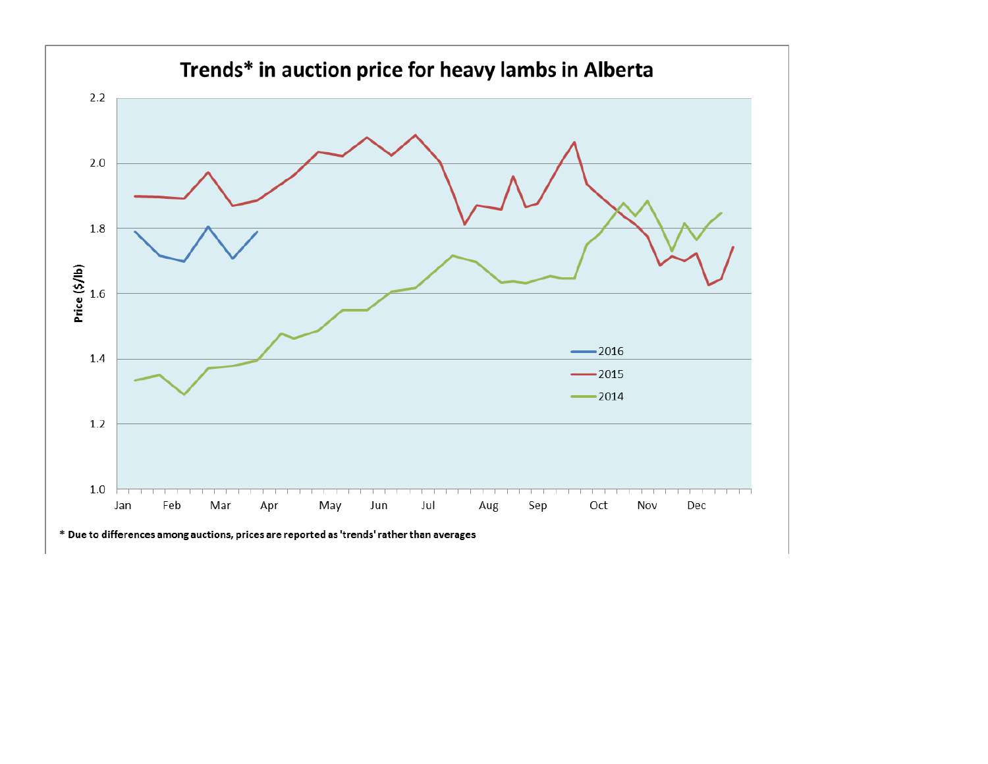